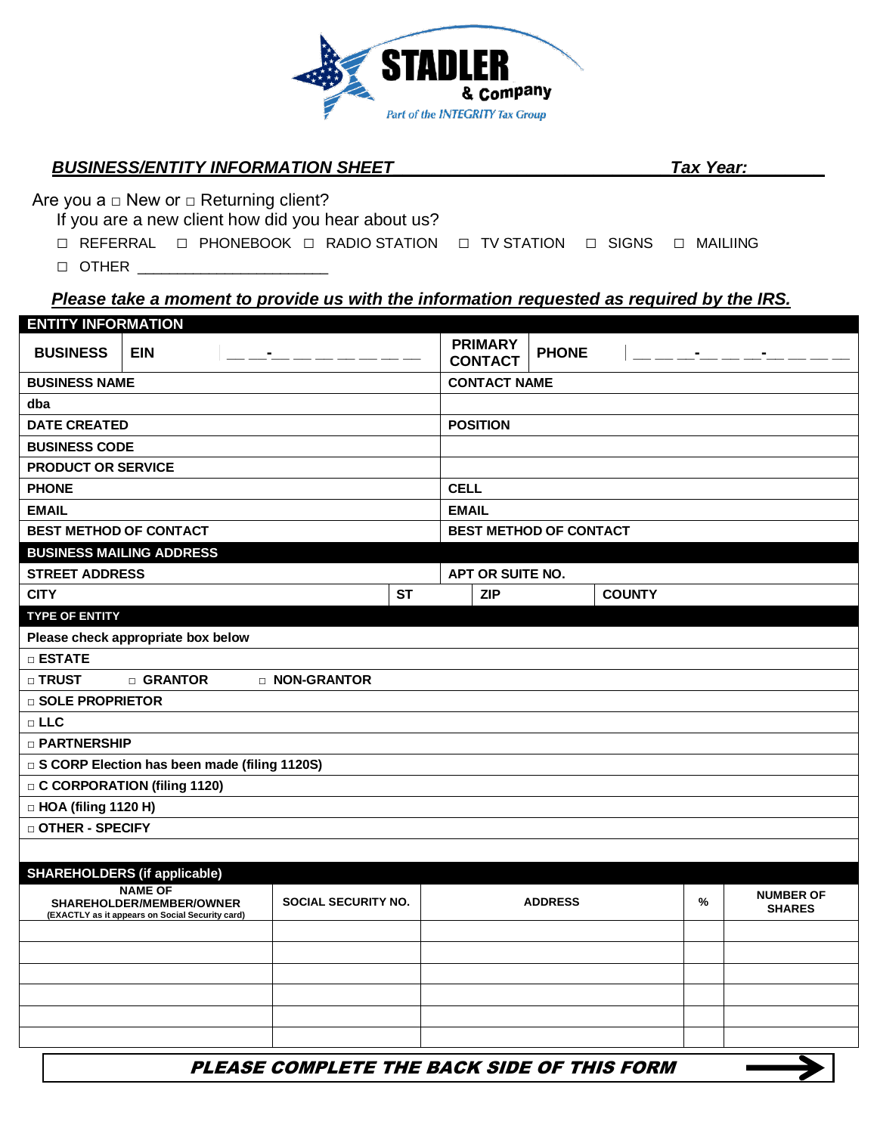

## *BUSINESS/ENTITY INFORMATION SHEET\_\_\_\_\_\_\_\_\_\_\_\_\_\_\_\_\_\_\_\_\_\_\_\_\_\_\_\_\_Tax Year:\_\_\_\_\_\_\_\_*

Are you  $a \square$  New or  $\square$  Returning client?

If you are a new client how did you hear about us?

□ REFERRAL □ PHONEBOOK □ RADIO STATION □ TV STATION □ SIGNS □ MAILIING

 $\Box$  OTHER  $\_\_$ 

## *Please take a moment to provide us with the information requested as required by the IRS.*

| <b>ENTITY INFORMATION</b>                      |                      |                      |           |                               |                                  |              |               |  |  |
|------------------------------------------------|----------------------|----------------------|-----------|-------------------------------|----------------------------------|--------------|---------------|--|--|
| <b>BUSINESS</b>                                | <b>EIN</b>           |                      |           |                               | <b>PRIMARY</b><br><b>CONTACT</b> | <b>PHONE</b> |               |  |  |
|                                                | <b>BUSINESS NAME</b> |                      |           |                               | <b>CONTACT NAME</b>              |              |               |  |  |
| dba                                            |                      |                      |           |                               |                                  |              |               |  |  |
| <b>DATE CREATED</b>                            |                      |                      |           | <b>POSITION</b>               |                                  |              |               |  |  |
| <b>BUSINESS CODE</b>                           |                      |                      |           |                               |                                  |              |               |  |  |
| <b>PRODUCT OR SERVICE</b>                      |                      |                      |           |                               |                                  |              |               |  |  |
| <b>PHONE</b>                                   |                      |                      |           | <b>CELL</b>                   |                                  |              |               |  |  |
| <b>EMAIL</b>                                   |                      |                      |           | <b>EMAIL</b>                  |                                  |              |               |  |  |
| <b>BEST METHOD OF CONTACT</b>                  |                      |                      |           | <b>BEST METHOD OF CONTACT</b> |                                  |              |               |  |  |
| <b>BUSINESS MAILING ADDRESS</b>                |                      |                      |           |                               |                                  |              |               |  |  |
| <b>STREET ADDRESS</b>                          |                      |                      |           |                               | APT OR SUITE NO.                 |              |               |  |  |
| <b>CITY</b>                                    |                      |                      | <b>ST</b> |                               | <b>ZIP</b>                       |              | <b>COUNTY</b> |  |  |
| <b>TYPE OF ENTITY</b>                          |                      |                      |           |                               |                                  |              |               |  |  |
| Please check appropriate box below             |                      |                      |           |                               |                                  |              |               |  |  |
| $\square$ ESTATE                               |                      |                      |           |                               |                                  |              |               |  |  |
| $\sqcap$ TRUST                                 | □ GRANTOR            | <b>D NON-GRANTOR</b> |           |                               |                                  |              |               |  |  |
| □ SOLE PROPRIETOR                              |                      |                      |           |                               |                                  |              |               |  |  |
| $\Box$ LLC                                     |                      |                      |           |                               |                                  |              |               |  |  |
| □ PARTNERSHIP                                  |                      |                      |           |                               |                                  |              |               |  |  |
| □ S CORP Election has been made (filing 1120S) |                      |                      |           |                               |                                  |              |               |  |  |
| <b>C CORPORATION (filing 1120)</b>             |                      |                      |           |                               |                                  |              |               |  |  |
| $\Box$ HOA (filing 1120 H)                     |                      |                      |           |                               |                                  |              |               |  |  |
| □ OTHER - SPECIFY                              |                      |                      |           |                               |                                  |              |               |  |  |
|                                                |                      |                      |           |                               |                                  |              |               |  |  |

| <b>SHAREHOLDERS (if applicable)</b>                                                           |                            |                |   |                                   |
|-----------------------------------------------------------------------------------------------|----------------------------|----------------|---|-----------------------------------|
| <b>NAME OF</b><br>SHAREHOLDER/MEMBER/OWNER<br>(EXACTLY as it appears on Social Security card) | <b>SOCIAL SECURITY NO.</b> | <b>ADDRESS</b> | % | <b>NUMBER OF</b><br><b>SHARES</b> |
|                                                                                               |                            |                |   |                                   |
|                                                                                               |                            |                |   |                                   |
|                                                                                               |                            |                |   |                                   |
|                                                                                               |                            |                |   |                                   |
|                                                                                               |                            |                |   |                                   |
|                                                                                               |                            |                |   |                                   |

PLEASE COMPLETE THE BACK SIDE OF THIS FORM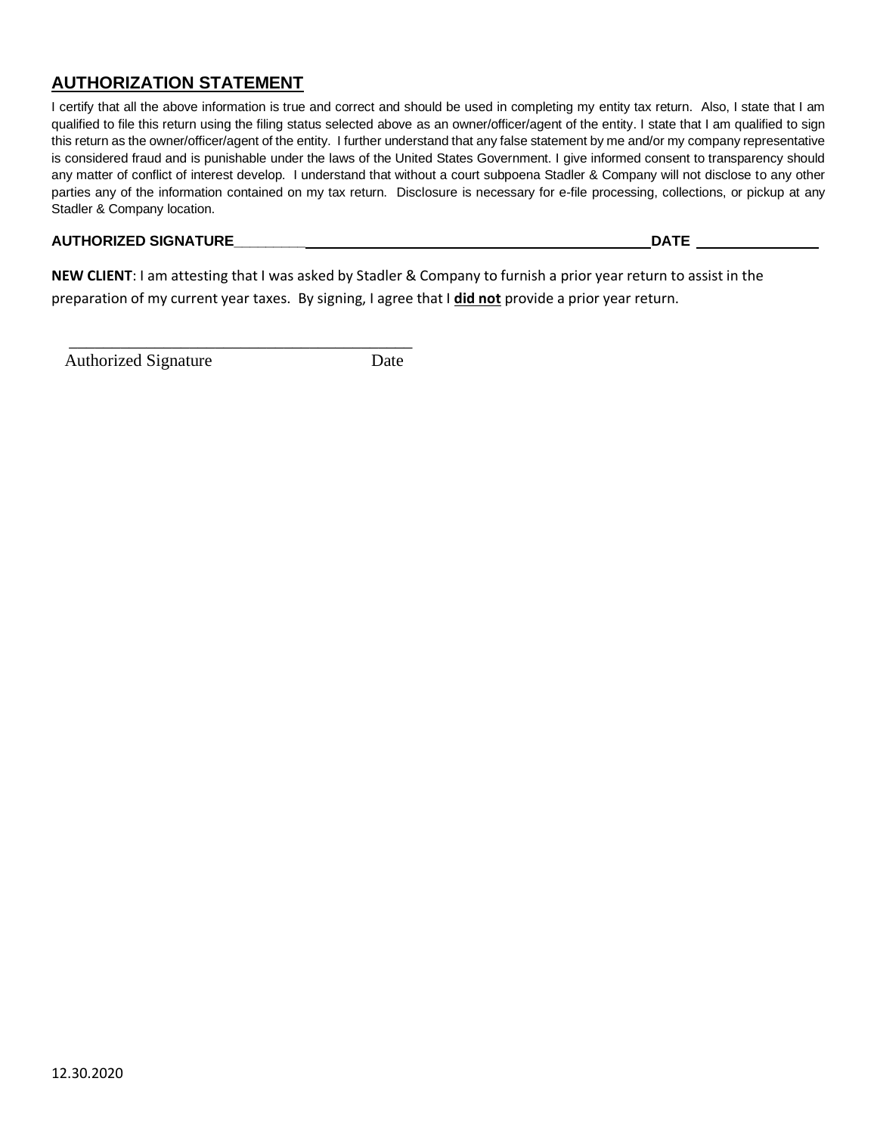# **AUTHORIZATION STATEMENT**

I certify that all the above information is true and correct and should be used in completing my entity tax return. Also, I state that I am qualified to file this return using the filing status selected above as an owner/officer/agent of the entity. I state that I am qualified to sign this return as the owner/officer/agent of the entity. I further understand that any false statement by me and/or my company representative is considered fraud and is punishable under the laws of the United States Government. I give informed consent to transparency should any matter of conflict of interest develop. I understand that without a court subpoena Stadler & Company will not disclose to any other parties any of the information contained on my tax return. Disclosure is necessary for e-file processing, collections, or pickup at any Stadler & Company location.

#### **AUTHORIZED SIGNATURE\_\_\_\_\_\_\_\_\_ DATE**

**NEW CLIENT**: I am attesting that I was asked by Stadler & Company to furnish a prior year return to assist in the preparation of my current year taxes. By signing, I agree that I **did not** provide a prior year return.

Authorized Signature Date

 $\overline{\phantom{a}}$  , and the contract of the contract of the contract of the contract of the contract of the contract of the contract of the contract of the contract of the contract of the contract of the contract of the contrac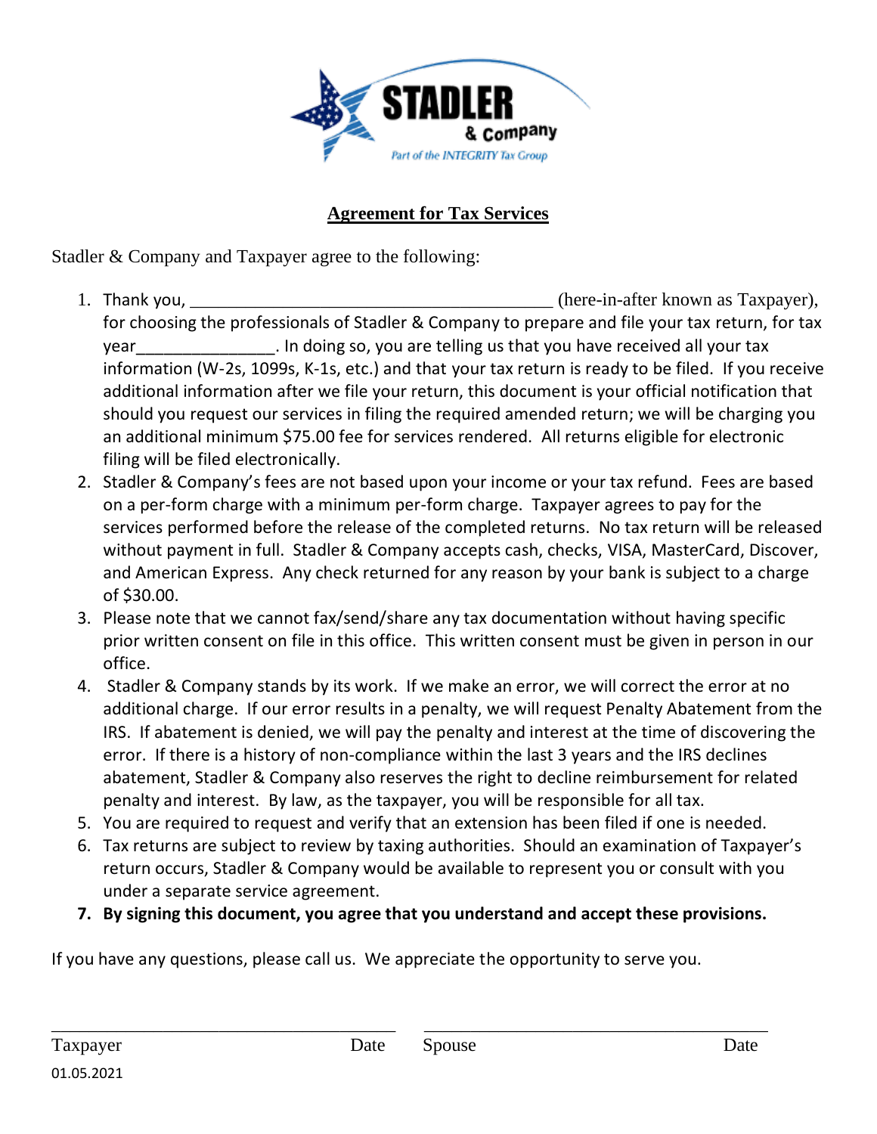

# **Agreement for Tax Services**

Stadler & Company and Taxpayer agree to the following:

- 1. Thank you, the same of the same of the same of the same of the same of the same of the same of the same of the same of the same of the same of the same of the same of the same of the same of the same of the same of the for choosing the professionals of Stadler & Company to prepare and file your tax return, for tax year vear all your tax in doing so, you are telling us that you have received all your tax information (W-2s, 1099s, K-1s, etc.) and that your tax return is ready to be filed. If you receive additional information after we file your return, this document is your official notification that should you request our services in filing the required amended return; we will be charging you an additional minimum \$75.00 fee for services rendered. All returns eligible for electronic filing will be filed electronically.
- 2. Stadler & Company's fees are not based upon your income or your tax refund. Fees are based on a per-form charge with a minimum per-form charge. Taxpayer agrees to pay for the services performed before the release of the completed returns. No tax return will be released without payment in full. Stadler & Company accepts cash, checks, VISA, MasterCard, Discover, and American Express. Any check returned for any reason by your bank is subject to a charge of \$30.00.
- 3. Please note that we cannot fax/send/share any tax documentation without having specific prior written consent on file in this office. This written consent must be given in person in our office.
- 4. Stadler & Company stands by its work. If we make an error, we will correct the error at no additional charge. If our error results in a penalty, we will request Penalty Abatement from the IRS. If abatement is denied, we will pay the penalty and interest at the time of discovering the error. If there is a history of non-compliance within the last 3 years and the IRS declines abatement, Stadler & Company also reserves the right to decline reimbursement for related penalty and interest. By law, as the taxpayer, you will be responsible for all tax.
- 5. You are required to request and verify that an extension has been filed if one is needed.
- 6. Tax returns are subject to review by taxing authorities. Should an examination of Taxpayer's return occurs, Stadler & Company would be available to represent you or consult with you under a separate service agreement.
- **7. By signing this document, you agree that you understand and accept these provisions.**

If you have any questions, please call us. We appreciate the opportunity to serve you.